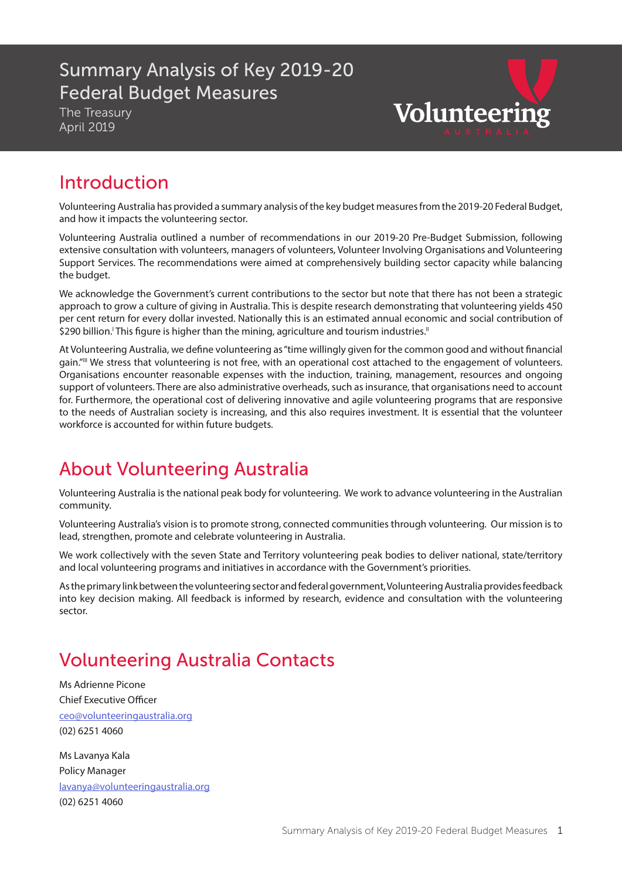### Summary Analysis of Key 2019-20 Federal Budget Measures

The Treasury April 2019

Volunteering

## Introduction

Volunteering Australia has provided a summary analysis of the key budget measures from the 2019-20 Federal Budget, and how it impacts the volunteering sector.

Volunteering Australia outlined a number of recommendations in our 2019-20 Pre-Budget Submission, following extensive consultation with volunteers, managers of volunteers, Volunteer Involving Organisations and Volunteering Support Services. The recommendations were aimed at comprehensively building sector capacity while balancing the budget.

We acknowledge the Government's current contributions to the sector but note that there has not been a strategic approach to grow a culture of giving in Australia. This is despite research demonstrating that volunteering yields 450 per cent return for every dollar invested. Nationally this is an estimated annual economic and social contribution of \$290 billion. This figure is higher than the mining, agriculture and tourism industries."

At Volunteering Australia, we define volunteering as "time willingly given for the common good and without financial gain."III We stress that volunteering is not free, with an operational cost attached to the engagement of volunteers. Organisations encounter reasonable expenses with the induction, training, management, resources and ongoing support of volunteers. There are also administrative overheads, such as insurance, that organisations need to account for. Furthermore, the operational cost of delivering innovative and agile volunteering programs that are responsive to the needs of Australian society is increasing, and this also requires investment. It is essential that the volunteer workforce is accounted for within future budgets.

## About Volunteering Australia

Volunteering Australia is the national peak body for volunteering. We work to advance volunteering in the Australian community.

Volunteering Australia's vision is to promote strong, connected communities through volunteering. Our mission is to lead, strengthen, promote and celebrate volunteering in Australia.

We work collectively with the seven State and Territory volunteering peak bodies to deliver national, state/territory and local volunteering programs and initiatives in accordance with the Government's priorities.

As the primary link between the volunteering sector and federal government, Volunteering Australia provides feedback into key decision making. All feedback is informed by research, evidence and consultation with the volunteering sector.

# Volunteering Australia Contacts

Ms Adrienne Picone Chief Executive Officer ceo@volunteeringaustralia.org (02) 6251 4060

Ms Lavanya Kala Policy Manager lavanya@volunteeringaustralia.org (02) 6251 4060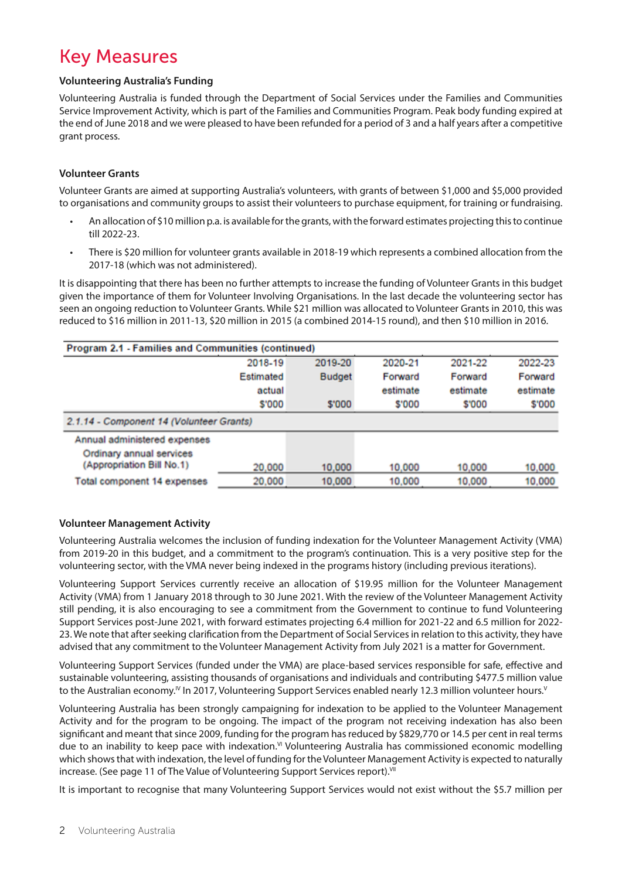## Key Measures

#### **Volunteering Australia's Funding**

Volunteering Australia is funded through the Department of Social Services under the Families and Communities Service Improvement Activity, which is part of the Families and Communities Program. Peak body funding expired at the end of June 2018 and we were pleased to have been refunded for a period of 3 and a half years after a competitive grant process.

#### **Volunteer Grants**

Volunteer Grants are aimed at supporting Australia's volunteers, with grants of between \$1,000 and \$5,000 provided to organisations and community groups to assist their volunteers to purchase equipment, for training or fundraising.

- An allocation of \$10 million p.a. is available for the grants, with the forward estimates projecting this to continue till 2022-23.
- There is \$20 million for volunteer grants available in 2018-19 which represents a combined allocation from the 2017-18 (which was not administered).

It is disappointing that there has been no further attempts to increase the funding of Volunteer Grants in this budget given the importance of them for Volunteer Involving Organisations. In the last decade the volunteering sector has seen an ongoing reduction to Volunteer Grants. While \$21 million was allocated to Volunteer Grants in 2010, this was reduced to \$16 million in 2011-13, \$20 million in 2015 (a combined 2014-15 round), and then \$10 million in 2016.

| Program 2.1 - Families and Communities (continued) |           |               |          |          |          |  |  |  |
|----------------------------------------------------|-----------|---------------|----------|----------|----------|--|--|--|
|                                                    | 2018-19   | 2019-20       | 2020-21  | 2021-22  | 2022-23  |  |  |  |
|                                                    | Estimated | <b>Budget</b> | Forward  | Forward  | Forward  |  |  |  |
|                                                    | actual    |               | estimate | estimate | estimate |  |  |  |
|                                                    | \$'000    | \$'000        | \$'000   | \$'000   | \$'000   |  |  |  |
| 2.1.14 - Component 14 (Volunteer Grants)           |           |               |          |          |          |  |  |  |
| Annual administered expenses                       |           |               |          |          |          |  |  |  |
| Ordinary annual services                           |           |               |          |          |          |  |  |  |
| (Appropriation Bill No.1)                          | 20,000    | 10,000        | 10,000   | 10,000   | 10,000   |  |  |  |
| Total component 14 expenses                        | 20,000    | 10,000        | 10,000   | 10,000   | 10,000   |  |  |  |

#### **Volunteer Management Activity**

Volunteering Australia welcomes the inclusion of funding indexation for the Volunteer Management Activity (VMA) from 2019-20 in this budget, and a commitment to the program's continuation. This is a very positive step for the volunteering sector, with the VMA never being indexed in the programs history (including previous iterations).

Volunteering Support Services currently receive an allocation of \$19.95 million for the Volunteer Management Activity (VMA) from 1 January 2018 through to 30 June 2021. With the review of the Volunteer Management Activity still pending, it is also encouraging to see a commitment from the Government to continue to fund Volunteering Support Services post-June 2021, with forward estimates projecting 6.4 million for 2021-22 and 6.5 million for 2022- 23. We note that after seeking clarification from the Department of Social Services in relation to this activity, they have advised that any commitment to the Volunteer Management Activity from July 2021 is a matter for Government.

Volunteering Support Services (funded under the VMA) are place-based services responsible for safe, effective and sustainable volunteering, assisting thousands of organisations and individuals and contributing \$477.5 million value to the Australian economy.<sup>IV</sup> In 2017, Volunteering Support Services enabled nearly 12.3 million volunteer hours.<sup>V</sup>

Volunteering Australia has been strongly campaigning for indexation to be applied to the Volunteer Management Activity and for the program to be ongoing. The impact of the program not receiving indexation has also been significant and meant that since 2009, funding for the program has reduced by \$829,770 or 14.5 per cent in real terms due to an inability to keep pace with indexation.<sup>V</sup>I Volunteering Australia has commissioned economic modelling which shows that with indexation, the level of funding for the Volunteer Management Activity is expected to naturally increase. (See page 11 of The Value of Volunteering Support Services report).<sup>VII</sup>

It is important to recognise that many Volunteering Support Services would not exist without the \$5.7 million per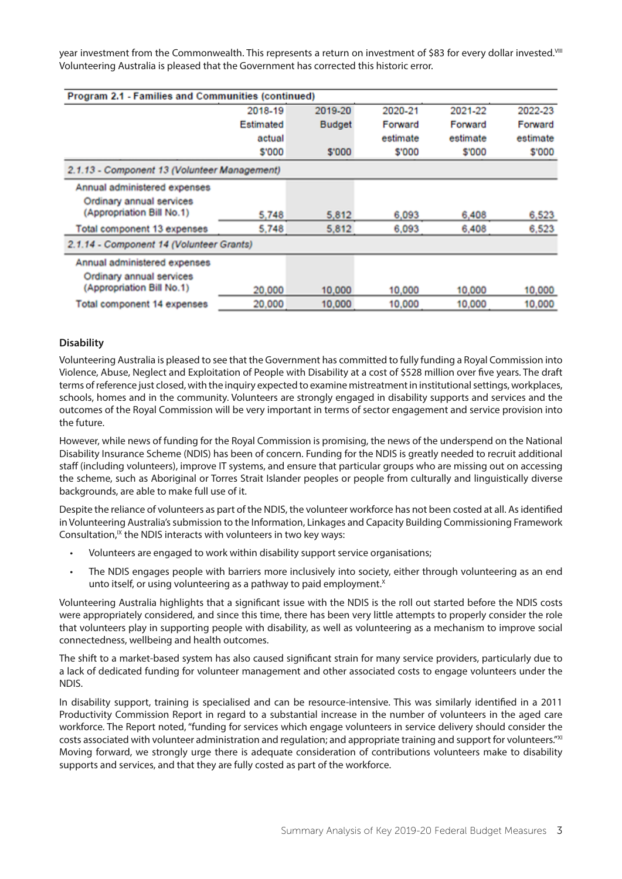year investment from the Commonwealth. This represents a return on investment of \$83 for every dollar invested.<sup>VIII</sup> Volunteering Australia is pleased that the Government has corrected this historic error.

| Program 2.1 - Families and Communities (continued) |              |               |          |          |          |
|----------------------------------------------------|--------------|---------------|----------|----------|----------|
|                                                    | 2018-19      | 2019-20       | 2020-21  | 2021-22  | 2022-23  |
|                                                    | Estimated    | <b>Budget</b> | Forward  | Forward  | Forward  |
|                                                    | actual       |               | estimate | estimate | estimate |
|                                                    | <b>S'000</b> | \$'000        | \$'000   | \$'000   | \$'000   |
| 2.1.13 - Component 13 (Volunteer Management)       |              |               |          |          |          |
| Annual administered expenses                       |              |               |          |          |          |
| Ordinary annual services                           |              |               |          |          |          |
| (Appropriation Bill No.1)                          | 5.748        | 5,812         | 6,093    | 6,408    | 6,523    |
| Total component 13 expenses                        | 5,748        | 5,812         | 6,093    | 6,408    | 6,523    |
| 2.1.14 - Component 14 (Volunteer Grants)           |              |               |          |          |          |
| Annual administered expenses                       |              |               |          |          |          |
| Ordinary annual services                           |              |               |          |          |          |
| (Appropriation Bill No.1)                          | 20,000       | 10,000        | 10,000   | 10,000   | 10,000   |
| <b>Total component 14 expenses</b>                 | 20,000       | 10,000        | 10,000   | 10,000   | 10,000   |

#### **Disability**

Volunteering Australia is pleased to see that the Government has committed to fully funding a Royal Commission into Violence, Abuse, Neglect and Exploitation of People with Disability at a cost of \$528 million over five years. The draft terms of reference just closed, with the inquiry expected to examine mistreatment in institutional settings, workplaces, schools, homes and in the community. Volunteers are strongly engaged in disability supports and services and the outcomes of the Royal Commission will be very important in terms of sector engagement and service provision into the future.

However, while news of funding for the Royal Commission is promising, the news of the underspend on the National Disability Insurance Scheme (NDIS) has been of concern. Funding for the NDIS is greatly needed to recruit additional staff (including volunteers), improve IT systems, and ensure that particular groups who are missing out on accessing the scheme, such as Aboriginal or Torres Strait Islander peoples or people from culturally and linguistically diverse backgrounds, are able to make full use of it.

Despite the reliance of volunteers as part of the NDIS, the volunteer workforce has not been costed at all. As identified in Volunteering Australia's submission to the Information, Linkages and Capacity Building Commissioning Framework Consultation,<sup>IX</sup> the NDIS interacts with volunteers in two key ways:

- Volunteers are engaged to work within disability support service organisations;
- The NDIS engages people with barriers more inclusively into society, either through volunteering as an end unto itself, or using volunteering as a pathway to paid employment. $X$

Volunteering Australia highlights that a significant issue with the NDIS is the roll out started before the NDIS costs were appropriately considered, and since this time, there has been very little attempts to properly consider the role that volunteers play in supporting people with disability, as well as volunteering as a mechanism to improve social connectedness, wellbeing and health outcomes.

The shift to a market-based system has also caused significant strain for many service providers, particularly due to a lack of dedicated funding for volunteer management and other associated costs to engage volunteers under the NDIS.

In disability support, training is specialised and can be resource-intensive. This was similarly identified in a 2011 Productivity Commission Report in regard to a substantial increase in the number of volunteers in the aged care workforce. The Report noted, "funding for services which engage volunteers in service delivery should consider the costs associated with volunteer administration and regulation; and appropriate training and support for volunteers."XI Moving forward, we strongly urge there is adequate consideration of contributions volunteers make to disability supports and services, and that they are fully costed as part of the workforce.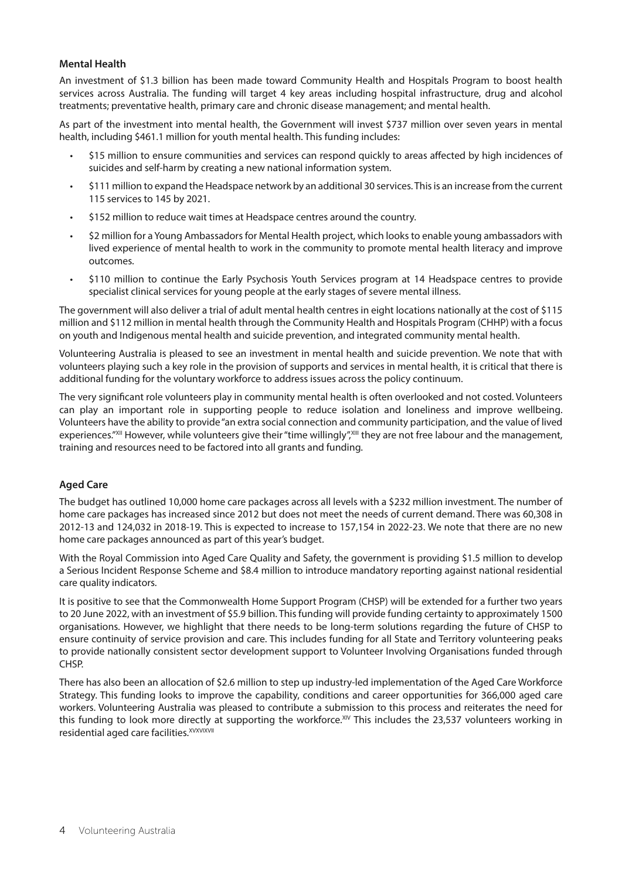#### **Mental Health**

An investment of \$1.3 billion has been made toward Community Health and Hospitals Program to boost health services across Australia. The funding will target 4 key areas including hospital infrastructure, drug and alcohol treatments; preventative health, primary care and chronic disease management; and mental health.

As part of the investment into mental health, the Government will invest \$737 million over seven years in mental health, including \$461.1 million for youth mental health. This funding includes:

- \$15 million to ensure communities and services can respond quickly to areas affected by high incidences of suicides and self-harm by creating a new national information system.
- \$111 million to expand the Headspace network by an additional 30 services. This is an increase from the current 115 services to 145 by 2021.
- \$152 million to reduce wait times at Headspace centres around the country.
- \$2 million for a Young Ambassadors for Mental Health project, which looks to enable young ambassadors with lived experience of mental health to work in the community to promote mental health literacy and improve outcomes.
- \$110 million to continue the Early Psychosis Youth Services program at 14 Headspace centres to provide specialist clinical services for young people at the early stages of severe mental illness.

The government will also deliver a trial of adult mental health centres in eight locations nationally at the cost of \$115 million and \$112 million in mental health through the Community Health and Hospitals Program (CHHP) with a focus on youth and Indigenous mental health and suicide prevention, and integrated community mental health.

Volunteering Australia is pleased to see an investment in mental health and suicide prevention. We note that with volunteers playing such a key role in the provision of supports and services in mental health, it is critical that there is additional funding for the voluntary workforce to address issues across the policy continuum.

The very significant role volunteers play in community mental health is often overlooked and not costed. Volunteers can play an important role in supporting people to reduce isolation and loneliness and improve wellbeing. Volunteers have the ability to provide "an extra social connection and community participation, and the value of lived experiences."XII However, while volunteers give their "time willingly", III they are not free labour and the management, training and resources need to be factored into all grants and funding.

#### **Aged Care**

The budget has outlined 10,000 home care packages across all levels with a \$232 million investment. The number of home care packages has increased since 2012 but does not meet the needs of current demand. There was 60,308 in 2012-13 and 124,032 in 2018-19. This is expected to increase to 157,154 in 2022-23. We note that there are no new home care packages announced as part of this year's budget.

With the Royal Commission into Aged Care Quality and Safety, the government is providing \$1.5 million to develop a Serious Incident Response Scheme and \$8.4 million to introduce mandatory reporting against national residential care quality indicators.

It is positive to see that the Commonwealth Home Support Program (CHSP) will be extended for a further two years to 20 June 2022, with an investment of \$5.9 billion. This funding will provide funding certainty to approximately 1500 organisations. However, we highlight that there needs to be long-term solutions regarding the future of CHSP to ensure continuity of service provision and care. This includes funding for all State and Territory volunteering peaks to provide nationally consistent sector development support to Volunteer Involving Organisations funded through CHSP.

There has also been an allocation of \$2.6 million to step up industry-led implementation of the Aged Care Workforce Strategy. This funding looks to improve the capability, conditions and career opportunities for 366,000 aged care workers. Volunteering Australia was pleased to contribute a submission to this process and reiterates the need for this funding to look more directly at supporting the workforce.<sup>XIV</sup> This includes the 23,537 volunteers working in residential aged care facilities.<sup>XVXVIXVII</sup>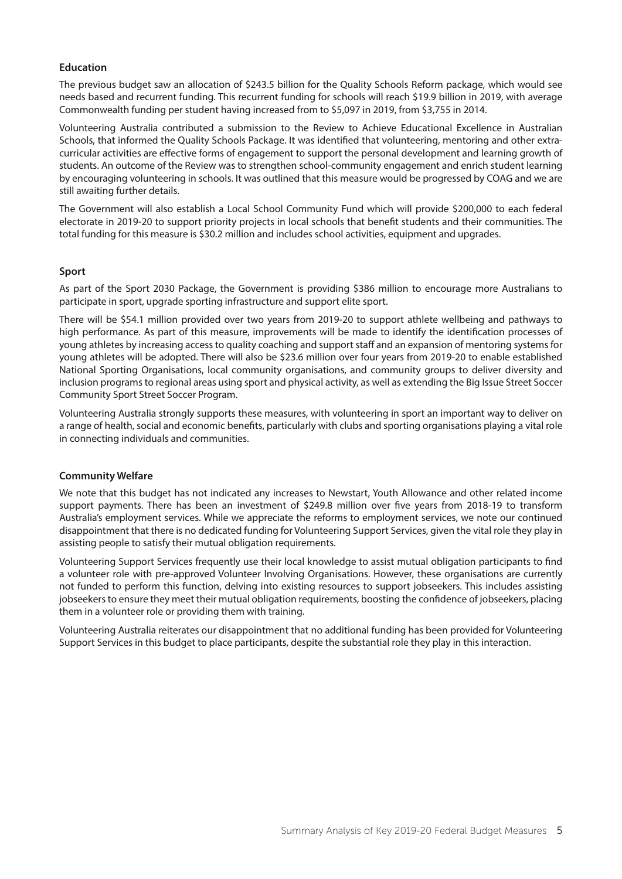#### **Education**

The previous budget saw an allocation of \$243.5 billion for the Quality Schools Reform package, which would see needs based and recurrent funding. This recurrent funding for schools will reach \$19.9 billion in 2019, with average Commonwealth funding per student having increased from to \$5,097 in 2019, from \$3,755 in 2014.

Volunteering Australia contributed a submission to the Review to Achieve Educational Excellence in Australian Schools, that informed the Quality Schools Package. It was identified that volunteering, mentoring and other extracurricular activities are effective forms of engagement to support the personal development and learning growth of students. An outcome of the Review was to strengthen school-community engagement and enrich student learning by encouraging volunteering in schools. It was outlined that this measure would be progressed by COAG and we are still awaiting further details.

The Government will also establish a Local School Community Fund which will provide \$200,000 to each federal electorate in 2019-20 to support priority projects in local schools that benefit students and their communities. The total funding for this measure is \$30.2 million and includes school activities, equipment and upgrades.

#### **Sport**

As part of the Sport 2030 Package, the Government is providing \$386 million to encourage more Australians to participate in sport, upgrade sporting infrastructure and support elite sport.

There will be \$54.1 million provided over two years from 2019-20 to support athlete wellbeing and pathways to high performance. As part of this measure, improvements will be made to identify the identification processes of young athletes by increasing access to quality coaching and support staff and an expansion of mentoring systems for young athletes will be adopted. There will also be \$23.6 million over four years from 2019-20 to enable established National Sporting Organisations, local community organisations, and community groups to deliver diversity and inclusion programs to regional areas using sport and physical activity, as well as extending the Big Issue Street Soccer Community Sport Street Soccer Program.

Volunteering Australia strongly supports these measures, with volunteering in sport an important way to deliver on a range of health, social and economic benefits, particularly with clubs and sporting organisations playing a vital role in connecting individuals and communities.

#### **Community Welfare**

We note that this budget has not indicated any increases to Newstart, Youth Allowance and other related income support payments. There has been an investment of \$249.8 million over five years from 2018-19 to transform Australia's employment services. While we appreciate the reforms to employment services, we note our continued disappointment that there is no dedicated funding for Volunteering Support Services, given the vital role they play in assisting people to satisfy their mutual obligation requirements.

Volunteering Support Services frequently use their local knowledge to assist mutual obligation participants to find a volunteer role with pre-approved Volunteer Involving Organisations. However, these organisations are currently not funded to perform this function, delving into existing resources to support jobseekers. This includes assisting jobseekers to ensure they meet their mutual obligation requirements, boosting the confidence of jobseekers, placing them in a volunteer role or providing them with training.

Volunteering Australia reiterates our disappointment that no additional funding has been provided for Volunteering Support Services in this budget to place participants, despite the substantial role they play in this interaction.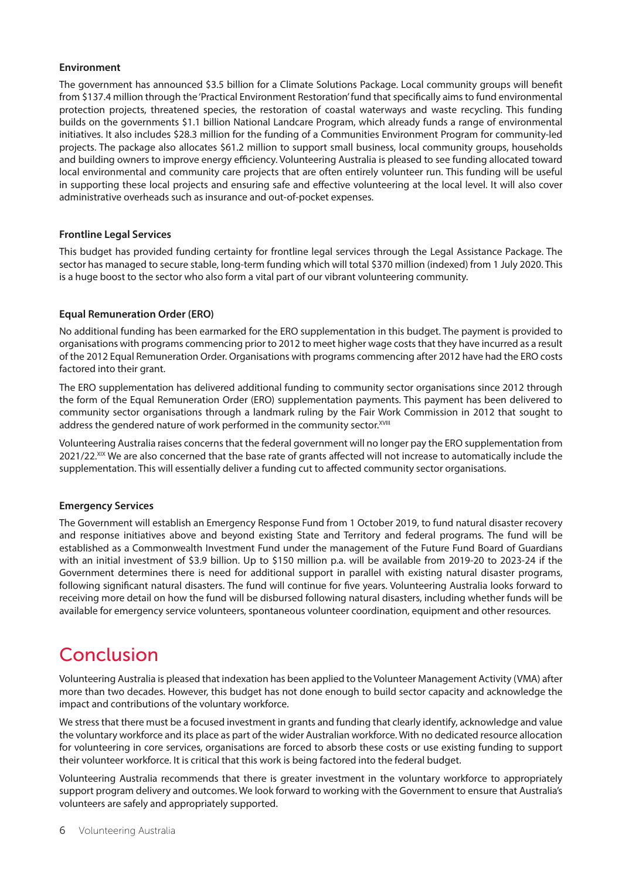#### **Environment**

The government has announced \$3.5 billion for a Climate Solutions Package. Local community groups will benefit from \$137.4 million through the 'Practical Environment Restoration' fund that specifically aims to fund environmental protection projects, threatened species, the restoration of coastal waterways and waste recycling. This funding builds on the governments \$1.1 billion National Landcare Program, which already funds a range of environmental initiatives. It also includes \$28.3 million for the funding of a Communities Environment Program for community-led projects. The package also allocates \$61.2 million to support small business, local community groups, households and building owners to improve energy efficiency. Volunteering Australia is pleased to see funding allocated toward local environmental and community care projects that are often entirely volunteer run. This funding will be useful in supporting these local projects and ensuring safe and effective volunteering at the local level. It will also cover administrative overheads such as insurance and out-of-pocket expenses.

#### **Frontline Legal Services**

This budget has provided funding certainty for frontline legal services through the Legal Assistance Package. The sector has managed to secure stable, long-term funding which will total \$370 million (indexed) from 1 July 2020. This is a huge boost to the sector who also form a vital part of our vibrant volunteering community.

#### **Equal Remuneration Order (ERO)**

No additional funding has been earmarked for the ERO supplementation in this budget. The payment is provided to organisations with programs commencing prior to 2012 to meet higher wage costs that they have incurred as a result of the 2012 Equal Remuneration Order. Organisations with programs commencing after 2012 have had the ERO costs factored into their grant.

The ERO supplementation has delivered additional funding to community sector organisations since 2012 through the form of the Equal Remuneration Order (ERO) supplementation payments. This payment has been delivered to community sector organisations through a landmark ruling by the Fair Work Commission in 2012 that sought to address the gendered nature of work performed in the community sector. XVIII

Volunteering Australia raises concerns that the federal government will no longer pay the ERO supplementation from 2021/22.<sup>XIX</sup> We are also concerned that the base rate of grants affected will not increase to automatically include the supplementation. This will essentially deliver a funding cut to affected community sector organisations.

#### **Emergency Services**

The Government will establish an Emergency Response Fund from 1 October 2019, to fund natural disaster recovery and response initiatives above and beyond existing State and Territory and federal programs. The fund will be established as a Commonwealth Investment Fund under the management of the Future Fund Board of Guardians with an initial investment of \$3.9 billion. Up to \$150 million p.a. will be available from 2019-20 to 2023-24 if the Government determines there is need for additional support in parallel with existing natural disaster programs, following significant natural disasters. The fund will continue for five years. Volunteering Australia looks forward to receiving more detail on how the fund will be disbursed following natural disasters, including whether funds will be available for emergency service volunteers, spontaneous volunteer coordination, equipment and other resources.

### Conclusion

Volunteering Australia is pleased that indexation has been applied to the Volunteer Management Activity (VMA) after more than two decades. However, this budget has not done enough to build sector capacity and acknowledge the impact and contributions of the voluntary workforce.

We stress that there must be a focused investment in grants and funding that clearly identify, acknowledge and value the voluntary workforce and its place as part of the wider Australian workforce. With no dedicated resource allocation for volunteering in core services, organisations are forced to absorb these costs or use existing funding to support their volunteer workforce. It is critical that this work is being factored into the federal budget.

Volunteering Australia recommends that there is greater investment in the voluntary workforce to appropriately support program delivery and outcomes. We look forward to working with the Government to ensure that Australia's volunteers are safely and appropriately supported.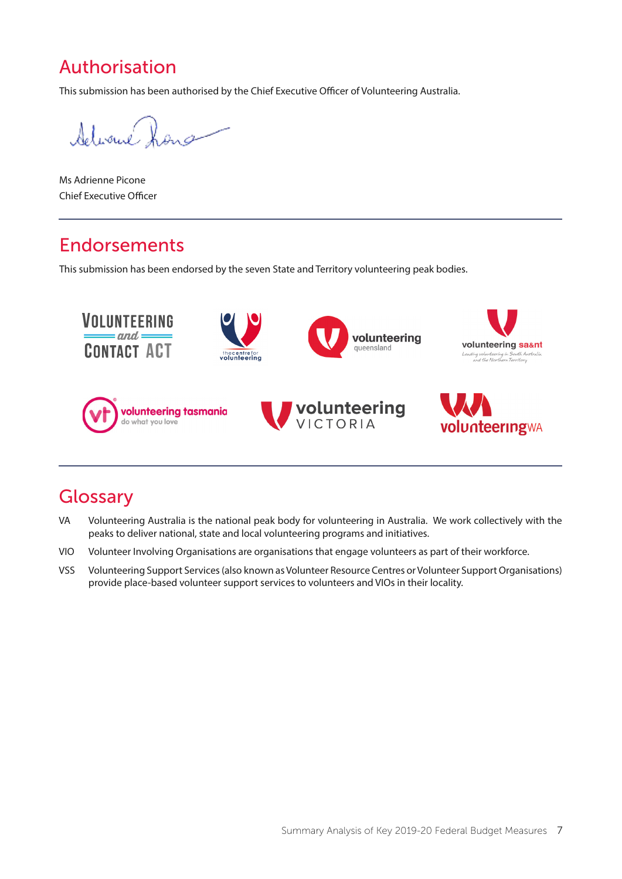## Authorisation

This submission has been authorised by the Chief Executive Officer of Volunteering Australia.

Advance X

Ms Adrienne Picone Chief Executive Officer

### Endorsements

This submission has been endorsed by the seven State and Territory volunteering peak bodies.



### **Glossary**

- VA Volunteering Australia is the national peak body for volunteering in Australia. We work collectively with the peaks to deliver national, state and local volunteering programs and initiatives.
- VIO Volunteer Involving Organisations are organisations that engage volunteers as part of their workforce.
- VSS Volunteering Support Services (also known as Volunteer Resource Centres or Volunteer Support Organisations) provide place-based volunteer support services to volunteers and VIOs in their locality.